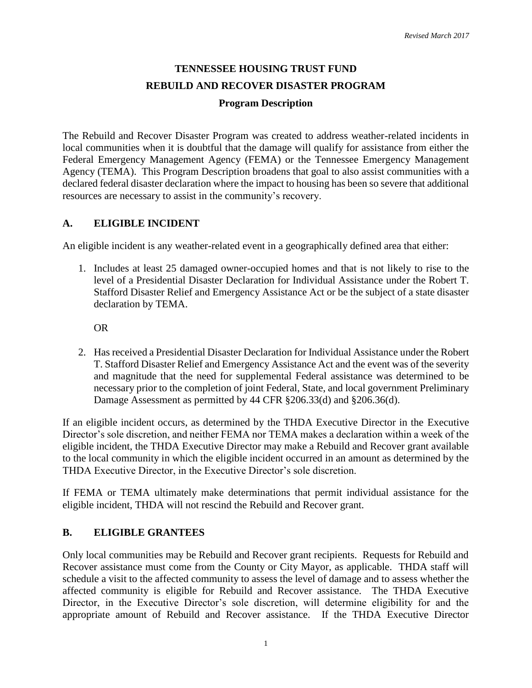# **TENNESSEE HOUSING TRUST FUND REBUILD AND RECOVER DISASTER PROGRAM**

#### **Program Description**

The Rebuild and Recover Disaster Program was created to address weather-related incidents in local communities when it is doubtful that the damage will qualify for assistance from either the Federal Emergency Management Agency (FEMA) or the Tennessee Emergency Management Agency (TEMA). This Program Description broadens that goal to also assist communities with a declared federal disaster declaration where the impact to housing has been so severe that additional resources are necessary to assist in the community's recovery.

#### **A. ELIGIBLE INCIDENT**

An eligible incident is any weather-related event in a geographically defined area that either:

1. Includes at least 25 damaged owner-occupied homes and that is not likely to rise to the level of a Presidential Disaster Declaration for Individual Assistance under the Robert T. Stafford Disaster Relief and Emergency Assistance Act or be the subject of a state disaster declaration by TEMA.

OR

2. Has received a Presidential Disaster Declaration for Individual Assistance under the Robert T. Stafford Disaster Relief and Emergency Assistance Act and the event was of the severity and magnitude that the need for supplemental Federal assistance was determined to be necessary prior to the completion of joint Federal, State, and local government Preliminary Damage Assessment as permitted by 44 CFR §206.33(d) and §206.36(d).

If an eligible incident occurs, as determined by the THDA Executive Director in the Executive Director's sole discretion, and neither FEMA nor TEMA makes a declaration within a week of the eligible incident, the THDA Executive Director may make a Rebuild and Recover grant available to the local community in which the eligible incident occurred in an amount as determined by the THDA Executive Director, in the Executive Director's sole discretion.

If FEMA or TEMA ultimately make determinations that permit individual assistance for the eligible incident, THDA will not rescind the Rebuild and Recover grant.

## **B. ELIGIBLE GRANTEES**

Only local communities may be Rebuild and Recover grant recipients. Requests for Rebuild and Recover assistance must come from the County or City Mayor, as applicable. THDA staff will schedule a visit to the affected community to assess the level of damage and to assess whether the affected community is eligible for Rebuild and Recover assistance. The THDA Executive Director, in the Executive Director's sole discretion, will determine eligibility for and the appropriate amount of Rebuild and Recover assistance. If the THDA Executive Director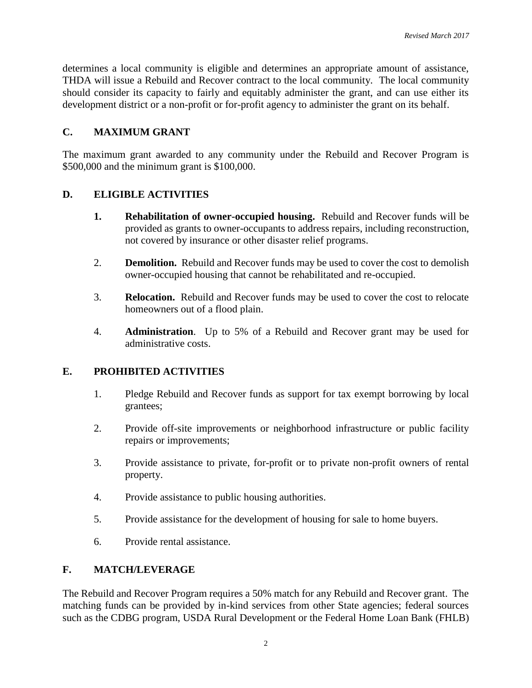determines a local community is eligible and determines an appropriate amount of assistance, THDA will issue a Rebuild and Recover contract to the local community. The local community should consider its capacity to fairly and equitably administer the grant, and can use either its development district or a non-profit or for-profit agency to administer the grant on its behalf.

## **C. MAXIMUM GRANT**

The maximum grant awarded to any community under the Rebuild and Recover Program is \$500,000 and the minimum grant is \$100,000.

# **D. ELIGIBLE ACTIVITIES**

- **1. Rehabilitation of owner-occupied housing.** Rebuild and Recover funds will be provided as grants to owner-occupants to address repairs, including reconstruction, not covered by insurance or other disaster relief programs.
- 2. **Demolition.** Rebuild and Recover funds may be used to cover the cost to demolish owner-occupied housing that cannot be rehabilitated and re-occupied.
- 3. **Relocation.** Rebuild and Recover funds may be used to cover the cost to relocate homeowners out of a flood plain.
- 4. **Administration**. Up to 5% of a Rebuild and Recover grant may be used for administrative costs.

## **E. PROHIBITED ACTIVITIES**

- 1. Pledge Rebuild and Recover funds as support for tax exempt borrowing by local grantees;
- 2. Provide off-site improvements or neighborhood infrastructure or public facility repairs or improvements;
- 3. Provide assistance to private, for-profit or to private non-profit owners of rental property.
- 4. Provide assistance to public housing authorities.
- 5. Provide assistance for the development of housing for sale to home buyers.
- 6. Provide rental assistance.

## **F. MATCH/LEVERAGE**

The Rebuild and Recover Program requires a 50% match for any Rebuild and Recover grant. The matching funds can be provided by in-kind services from other State agencies; federal sources such as the CDBG program, USDA Rural Development or the Federal Home Loan Bank (FHLB)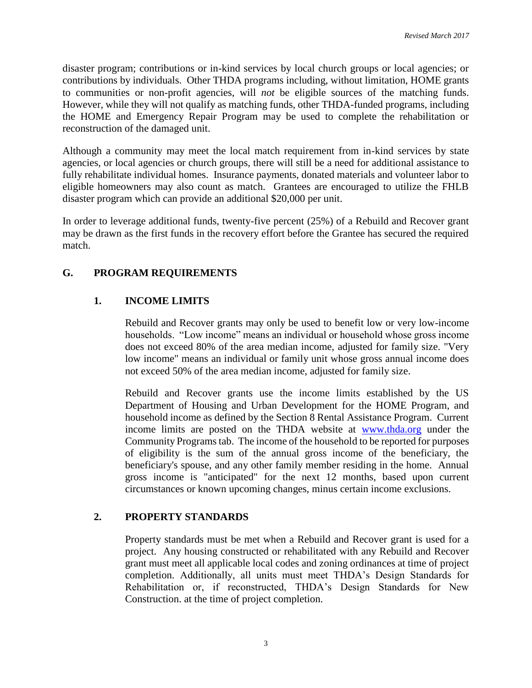disaster program; contributions or in-kind services by local church groups or local agencies; or contributions by individuals. Other THDA programs including, without limitation, HOME grants to communities or non-profit agencies, will *not* be eligible sources of the matching funds. However, while they will not qualify as matching funds, other THDA-funded programs, including the HOME and Emergency Repair Program may be used to complete the rehabilitation or reconstruction of the damaged unit.

Although a community may meet the local match requirement from in-kind services by state agencies, or local agencies or church groups, there will still be a need for additional assistance to fully rehabilitate individual homes. Insurance payments, donated materials and volunteer labor to eligible homeowners may also count as match. Grantees are encouraged to utilize the FHLB disaster program which can provide an additional \$20,000 per unit.

In order to leverage additional funds, twenty-five percent (25%) of a Rebuild and Recover grant may be drawn as the first funds in the recovery effort before the Grantee has secured the required match.

# **G. PROGRAM REQUIREMENTS**

# **1. INCOME LIMITS**

Rebuild and Recover grants may only be used to benefit low or very low-income households. "Low income" means an individual or household whose gross income does not exceed 80% of the area median income, adjusted for family size. "Very low income" means an individual or family unit whose gross annual income does not exceed 50% of the area median income, adjusted for family size.

Rebuild and Recover grants use the income limits established by the US Department of Housing and Urban Development for the HOME Program, and household income as defined by the Section 8 Rental Assistance Program. Current income limits are posted on the THDA website at [www.thda.org](http://www.thda.org/) under the Community Programs tab. The income of the household to be reported for purposes of eligibility is the sum of the annual gross income of the beneficiary, the beneficiary's spouse, and any other family member residing in the home. Annual gross income is "anticipated" for the next 12 months, based upon current circumstances or known upcoming changes, minus certain income exclusions.

## **2. PROPERTY STANDARDS**

Property standards must be met when a Rebuild and Recover grant is used for a project. Any housing constructed or rehabilitated with any Rebuild and Recover grant must meet all applicable local codes and zoning ordinances at time of project completion. Additionally, all units must meet THDA's Design Standards for Rehabilitation or, if reconstructed, THDA's Design Standards for New Construction. at the time of project completion.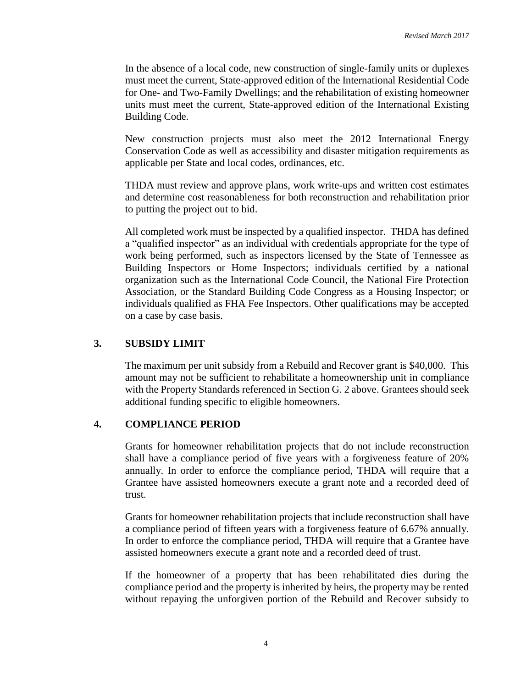In the absence of a local code, new construction of single-family units or duplexes must meet the current, State-approved edition of the International Residential Code for One- and Two-Family Dwellings; and the rehabilitation of existing homeowner units must meet the current, State-approved edition of the International Existing Building Code.

New construction projects must also meet the 2012 International Energy Conservation Code as well as accessibility and disaster mitigation requirements as applicable per State and local codes, ordinances, etc.

THDA must review and approve plans, work write-ups and written cost estimates and determine cost reasonableness for both reconstruction and rehabilitation prior to putting the project out to bid.

All completed work must be inspected by a qualified inspector. THDA has defined a "qualified inspector" as an individual with credentials appropriate for the type of work being performed, such as inspectors licensed by the State of Tennessee as Building Inspectors or Home Inspectors; individuals certified by a national organization such as the International Code Council, the National Fire Protection Association, or the Standard Building Code Congress as a Housing Inspector; or individuals qualified as FHA Fee Inspectors. Other qualifications may be accepted on a case by case basis.

#### **3. SUBSIDY LIMIT**

The maximum per unit subsidy from a Rebuild and Recover grant is \$40,000. This amount may not be sufficient to rehabilitate a homeownership unit in compliance with the Property Standards referenced in Section G. 2 above. Grantees should seek additional funding specific to eligible homeowners.

#### **4. COMPLIANCE PERIOD**

Grants for homeowner rehabilitation projects that do not include reconstruction shall have a compliance period of five years with a forgiveness feature of 20% annually. In order to enforce the compliance period, THDA will require that a Grantee have assisted homeowners execute a grant note and a recorded deed of trust.

Grants for homeowner rehabilitation projects that include reconstruction shall have a compliance period of fifteen years with a forgiveness feature of 6.67% annually. In order to enforce the compliance period, THDA will require that a Grantee have assisted homeowners execute a grant note and a recorded deed of trust.

If the homeowner of a property that has been rehabilitated dies during the compliance period and the property is inherited by heirs, the property may be rented without repaying the unforgiven portion of the Rebuild and Recover subsidy to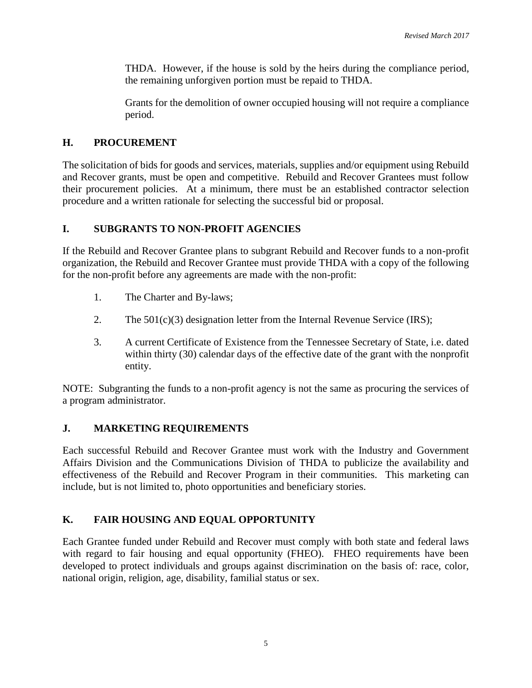THDA. However, if the house is sold by the heirs during the compliance period, the remaining unforgiven portion must be repaid to THDA.

Grants for the demolition of owner occupied housing will not require a compliance period.

# **H. PROCUREMENT**

The solicitation of bids for goods and services, materials, supplies and/or equipment using Rebuild and Recover grants, must be open and competitive. Rebuild and Recover Grantees must follow their procurement policies. At a minimum, there must be an established contractor selection procedure and a written rationale for selecting the successful bid or proposal.

# **I. SUBGRANTS TO NON-PROFIT AGENCIES**

If the Rebuild and Recover Grantee plans to subgrant Rebuild and Recover funds to a non-profit organization, the Rebuild and Recover Grantee must provide THDA with a copy of the following for the non-profit before any agreements are made with the non-profit:

- 1. The Charter and By-laws;
- 2. The  $501(c)(3)$  designation letter from the Internal Revenue Service (IRS);
- 3. A current Certificate of Existence from the Tennessee Secretary of State, i.e. dated within thirty (30) calendar days of the effective date of the grant with the nonprofit entity.

NOTE: Subgranting the funds to a non-profit agency is not the same as procuring the services of a program administrator.

# **J. MARKETING REQUIREMENTS**

Each successful Rebuild and Recover Grantee must work with the Industry and Government Affairs Division and the Communications Division of THDA to publicize the availability and effectiveness of the Rebuild and Recover Program in their communities. This marketing can include, but is not limited to, photo opportunities and beneficiary stories.

## **K. FAIR HOUSING AND EQUAL OPPORTUNITY**

Each Grantee funded under Rebuild and Recover must comply with both state and federal laws with regard to fair housing and equal opportunity (FHEO). FHEO requirements have been developed to protect individuals and groups against discrimination on the basis of: race, color, national origin, religion, age, disability, familial status or sex.